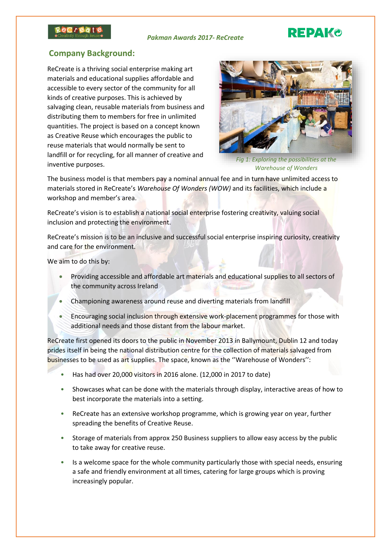# ecreat

#### *Pakman Awards 2017- ReCreate*

# **REPAKO**

### **Company Background:**

ReCreate is a thriving social enterprise making art materials and educational supplies affordable and accessible to every sector of the community for all kinds of creative purposes. This is achieved by salvaging clean, reusable materials from business and distributing them to members for free in unlimited quantities. The project is based on a concept known as Creative Reuse which encourages the public to reuse materials that would normally be sent to landfill or for recycling, for all manner of creative and inventive purposes.



*Fig 1: Exploring the possibilities at the Warehouse of Wonders*

The business model is that members pay a nominal annual fee and in turn have unlimited access to materials stored in ReCreate's *Warehouse Of Wonders (WOW)* and its facilities, which include a workshop and member's area.

ReCreate's vision is to establish a national social enterprise fostering creativity, valuing social inclusion and protecting the environment.

ReCreate's mission is to be an inclusive and successful social enterprise inspiring curiosity, creativity and care for the environment.

We aim to do this by:

- Providing accessible and affordable art materials and educational supplies to all sectors of the community across Ireland
- Championing awareness around reuse and diverting materials from landfill
- Encouraging social inclusion through extensive work-placement programmes for those with additional needs and those distant from the labour market.

ReCreate first opened its doors to the public in November 2013 in Ballymount, Dublin 12 and today prides itself in being the national distribution centre for the collection of materials salvaged from businesses to be used as art supplies. The space, known as the ''Warehouse of Wonders'':

- Has had over 20,000 visitors in 2016 alone. (12,000 in 2017 to date)
- Showcases what can be done with the materials through display, interactive areas of how to best incorporate the materials into a setting.
- ReCreate has an extensive workshop programme, which is growing year on year, further spreading the benefits of Creative Reuse.
- Storage of materials from approx 250 Business suppliers to allow easy access by the public to take away for creative reuse.
- Is a welcome space for the whole community particularly those with special needs, ensuring a safe and friendly environment at all times, catering for large groups which is proving increasingly popular.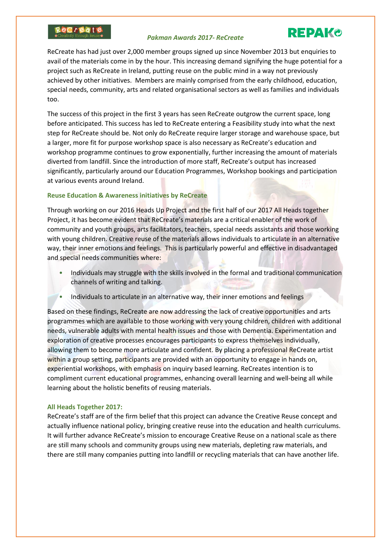# Recheate

### *Pakman Awards 2017- ReCreate*



ReCreate has had just over 2,000 member groups signed up since November 2013 but enquiries to avail of the materials come in by the hour. This increasing demand signifying the huge potential for a project such as ReCreate in Ireland, putting reuse on the public mind in a way not previously achieved by other initiatives. Members are mainly comprised from the early childhood, education, special needs, community, arts and related organisational sectors as well as families and individuals too.

The success of this project in the first 3 years has seen ReCreate outgrow the current space, long before anticipated. This success has led to ReCreate entering a Feasibility study into what the next step for ReCreate should be. Not only do ReCreate require larger storage and warehouse space, but a larger, more fit for purpose workshop space is also necessary as ReCreate's education and workshop programme continues to grow exponentially, further increasing the amount of materials diverted from landfill. Since the introduction of more staff, ReCreate's output has increased significantly, particularly around our Education Programmes, Workshop bookings and participation at various events around Ireland.

### **Reuse Education & Awareness initiatives by ReCreate**

Through working on our 2016 Heads Up Project and the first half of our 2017 All Heads together Project, it has become evident that ReCreate's materials are a critical enabler of the work of community and youth groups, arts facilitators, teachers, special needs assistants and those working with young children. Creative reuse of the materials allows individuals to articulate in an alternative way, their inner emotions and feelings. This is particularly powerful and effective in disadvantaged and special needs communities where:

- Individuals may struggle with the skills involved in the formal and traditional communication channels of writing and talking.
- Individuals to articulate in an alternative way, their inner emotions and feelings

Based on these findings, ReCreate are now addressing the lack of creative opportunities and arts programmes which are available to those working with very young children, children with additional needs, vulnerable adults with mental health issues and those with Dementia. Experimentation and exploration of creative processes encourages participants to express themselves individually, allowing them to become more articulate and confident. By placing a professional ReCreate artist within a group setting, participants are provided with an opportunity to engage in hands on, experiential workshops, with emphasis on inquiry based learning. ReCreates intention is to compliment current educational programmes, enhancing overall learning and well-being all while learning about the holistic benefits of reusing materials.

### **All Heads Together 2017:**

ReCreate's staff are of the firm belief that this project can advance the Creative Reuse concept and actually influence national policy, bringing creative reuse into the education and health curriculums. It will further advance ReCreate's mission to encourage Creative Reuse on a national scale as there are still many schools and community groups using new materials, depleting raw materials, and there are still many companies putting into landfill or recycling materials that can have another life.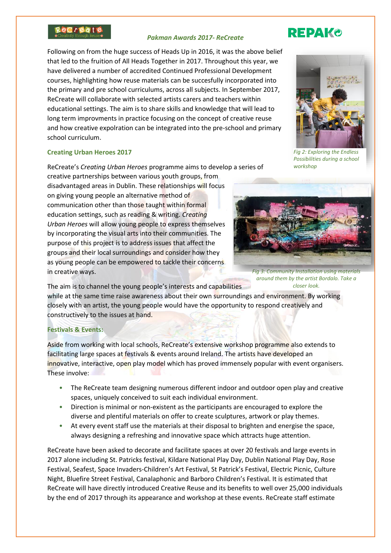# Recycate

### *Pakman Awards 2017- ReCreate*

Following on from the huge success of Heads Up in 2016, it was the above belief that led to the fruition of All Heads Together in 2017. Throughout this year, we have delivered a number of accredited Continued Professional Development courses, highlighting how reuse materials can be succesfully incorporated into the primary and pre school curriculums, across all subjects. In September 2017, ReCreate will collaborate with selected artists carers and teachers within educational settings. The aim is to share skills and knowledge that will lead to long term improvments in practice focusing on the concept of creative reuse and how creative expolration can be integrated into the pre-school and primary school curriculum.

### **Creating Urban Heroes 2017**

ReCreate's *Creating Urban Heroes* programme aims to develop a series of

creative partnerships between various youth groups, from disadvantaged areas in Dublin. These relationships will focus on giving young people an alternative method of communication other than those taught within formal education settings, such as reading & writing. *Creating Urban Heroes* will allow young people to express themselves by incorporating the visual arts into their communities. The purpose of this project is to address issues that affect the groups and their local surroundings and consider how they as young people can be empowered to tackle their concerns in creative ways.

The aim is to channel the young people's interests and capabilities

while at the same time raise awareness about their own surroundings and environment. By working closely with an artist, the young people would have the opportunity to respond creatively and constructively to the issues at hand.

### **Festivals & Events:**

Aside from working with local schools, ReCreate's extensive workshop programme also extends to facilitating large spaces at festivals & events around Ireland. The artists have developed an innovative, interactive, open play model which has proved immensely popular with event organisers. These involve:

- The ReCreate team designing numerous different indoor and outdoor open play and creative spaces, uniquely conceived to suit each individual environment.
- Direction is minimal or non-existent as the participants are encouraged to explore the diverse and plentiful materials on offer to create sculptures, artwork or play themes.
- At every event staff use the materials at their disposal to brighten and energise the space, always designing a refreshing and innovative space which attracts huge attention.

ReCreate have been asked to decorate and facilitate spaces at over 20 festivals and large events in 2017 alone including St. Patricks festival, Kildare National Play Day, Dublin National Play Day, Rose Festival, Seafest, Space Invaders-Children's Art Festival, St Patrick's Festival, Electric Picnic, Culture Night, Bluefire Street Festival, Canalaphonic and Barboro Children's Festival. It is estimated that ReCreate will have directly introduced Creative Reuse and its benefits to well over 25,000 individuals by the end of 2017 through its appearance and workshop at these events. ReCreate staff estimate

*Fig 3: Community Installation using materials around them by the artist Bordalo. Take a closer look.*